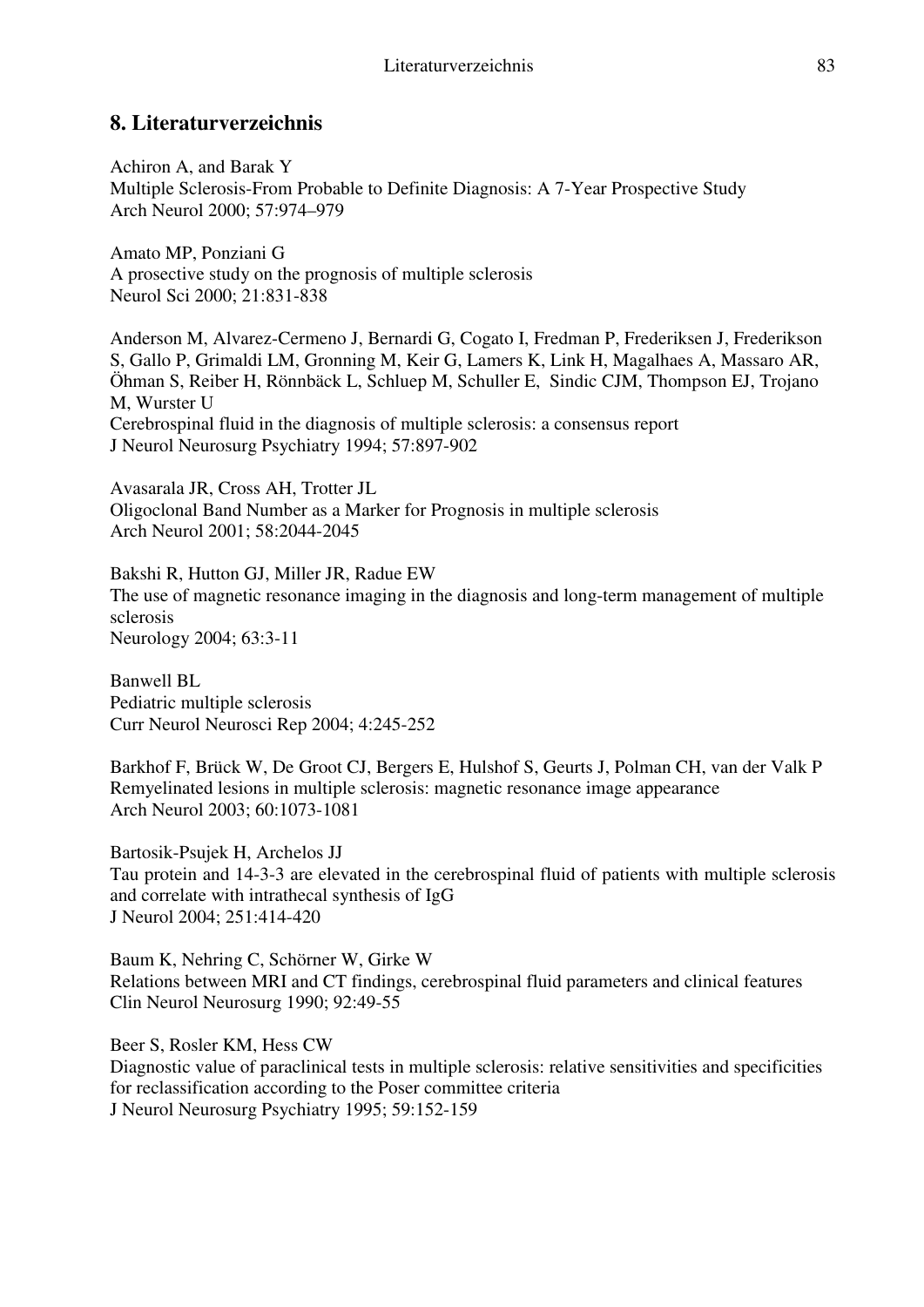## **8. Literaturverzeichnis**

Achiron A, and Barak Y Multiple Sclerosis-From Probable to Definite Diagnosis: A 7-Year Prospective Study Arch Neurol 2000; 57:974–979

Amato MP, Ponziani G A prosective study on the prognosis of multiple sclerosis Neurol Sci 2000; 21:831-838

Anderson M, Alvarez-Cermeno J, Bernardi G, Cogato I, Fredman P, Frederiksen J, Frederikson S, Gallo P, Grimaldi LM, Gronning M, Keir G, Lamers K, Link H, Magalhaes A, Massaro AR, Öhman S, Reiber H, Rönnbäck L, Schluep M, Schuller E, Sindic CJM, Thompson EJ, Trojano M, Wurster U Cerebrospinal fluid in the diagnosis of multiple sclerosis: a consensus report J Neurol Neurosurg Psychiatry 1994; 57:897-902

Avasarala JR, Cross AH, Trotter JL Oligoclonal Band Number as a Marker for Prognosis in multiple sclerosis Arch Neurol 2001; 58:2044-2045

Bakshi R, Hutton GJ, Miller JR, Radue EW The use of magnetic resonance imaging in the diagnosis and long-term management of multiple sclerosis Neurology 2004; 63:3-11

Banwell BL Pediatric multiple sclerosis Curr Neurol Neurosci Rep 2004; 4:245-252

Barkhof F, Brück W, De Groot CJ, Bergers E, Hulshof S, Geurts J, Polman CH, van der Valk P Remyelinated lesions in multiple sclerosis: magnetic resonance image appearance Arch Neurol 2003; 60:1073-1081

Bartosik-Psujek H, Archelos JJ Tau protein and 14-3-3 are elevated in the cerebrospinal fluid of patients with multiple sclerosis and correlate with intrathecal synthesis of IgG J Neurol 2004; 251:414-420

Baum K, Nehring C, Schörner W, Girke W Relations between MRI and CT findings, cerebrospinal fluid parameters and clinical features Clin Neurol Neurosurg 1990; 92:49-55

Beer S, Rosler KM, Hess CW Diagnostic value of paraclinical tests in multiple sclerosis: relative sensitivities and specificities for reclassification according to the Poser committee criteria J Neurol Neurosurg Psychiatry 1995; 59:152-159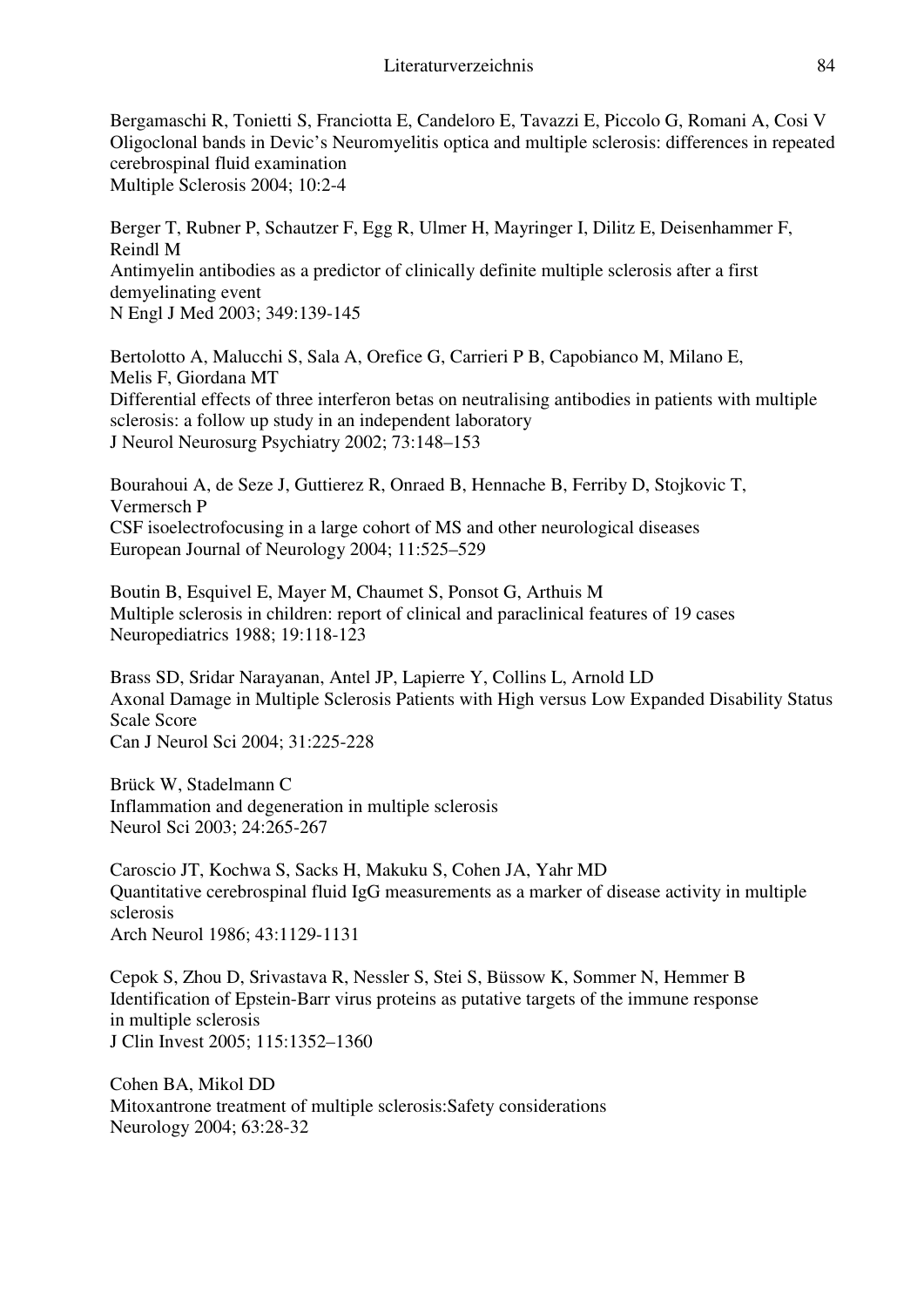Bergamaschi R, Tonietti S, Franciotta E, Candeloro E, Tavazzi E, Piccolo G, Romani A, Cosi V Oligoclonal bands in Devic's Neuromyelitis optica and multiple sclerosis: differences in repeated cerebrospinal fluid examination Multiple Sclerosis 2004; 10:2-4

Berger T, Rubner P, Schautzer F, Egg R, Ulmer H, Mayringer I, Dilitz E, Deisenhammer F, Reindl M Antimyelin antibodies as a predictor of clinically definite multiple sclerosis after a first demyelinating event N Engl J Med 2003; 349:139-145

Bertolotto A, Malucchi S, Sala A, Orefice G, Carrieri P B, Capobianco M, Milano E, Melis F, Giordana MT Differential effects of three interferon betas on neutralising antibodies in patients with multiple sclerosis: a follow up study in an independent laboratory J Neurol Neurosurg Psychiatry 2002; 73:148–153

Bourahoui A, de Seze J, Guttierez R, Onraed B, Hennache B, Ferriby D, Stojkovic T, Vermersch P CSF isoelectrofocusing in a large cohort of MS and other neurological diseases European Journal of Neurology 2004; 11:525–529

Boutin B, Esquivel E, Mayer M, Chaumet S, Ponsot G, Arthuis M Multiple sclerosis in children: report of clinical and paraclinical features of 19 cases Neuropediatrics 1988; 19:118-123

Brass SD, Sridar Narayanan, Antel JP, Lapierre Y, Collins L, Arnold LD Axonal Damage in Multiple Sclerosis Patients with High versus Low Expanded Disability Status Scale Score Can J Neurol Sci 2004; 31:225-228

Brück W, Stadelmann C Inflammation and degeneration in multiple sclerosis Neurol Sci 2003; 24:265-267

Caroscio JT, Kochwa S, Sacks H, Makuku S, Cohen JA, Yahr MD Quantitative cerebrospinal fluid IgG measurements as a marker of disease activity in multiple sclerosis Arch Neurol 1986; 43:1129-1131

Cepok S, Zhou D, Srivastava R, Nessler S, Stei S, Büssow K, Sommer N, Hemmer B Identification of Epstein-Barr virus proteins as putative targets of the immune response in multiple sclerosis J Clin Invest 2005; 115:1352–1360

Cohen BA, Mikol DD Mitoxantrone treatment of multiple sclerosis:Safety considerations Neurology 2004; 63:28-32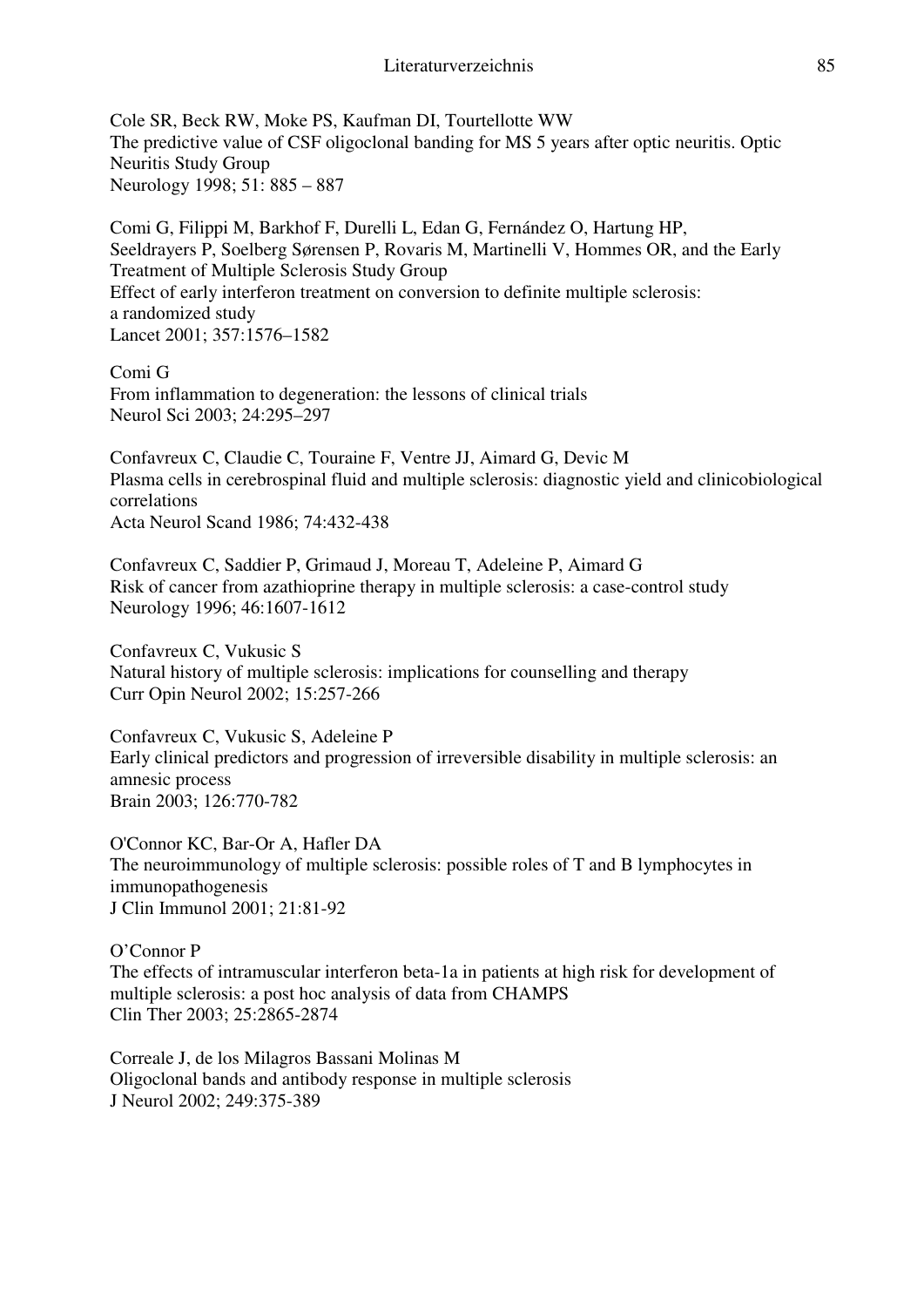Cole SR, Beck RW, Moke PS, Kaufman DI, Tourtellotte WW The predictive value of CSF oligoclonal banding for MS 5 years after optic neuritis. Optic Neuritis Study Group Neurology 1998; 51: 885 – 887

Comi G, Filippi M, Barkhof F, Durelli L, Edan G, Fernández O, Hartung HP, Seeldrayers P, Soelberg Sørensen P, Rovaris M, Martinelli V, Hommes OR, and the Early Treatment of Multiple Sclerosis Study Group Effect of early interferon treatment on conversion to definite multiple sclerosis: a randomized study Lancet 2001; 357:1576–1582

Comi G From inflammation to degeneration: the lessons of clinical trials Neurol Sci 2003; 24:295–297

Confavreux C, Claudie C, Touraine F, Ventre JJ, Aimard G, Devic M Plasma cells in cerebrospinal fluid and multiple sclerosis: diagnostic yield and clinicobiological correlations Acta Neurol Scand 1986; 74:432-438

Confavreux C, Saddier P, Grimaud J, Moreau T, Adeleine P, Aimard G Risk of cancer from azathioprine therapy in multiple sclerosis: a case-control study Neurology 1996; 46:1607-1612

Confavreux C, Vukusic S Natural history of multiple sclerosis: implications for counselling and therapy Curr Opin Neurol 2002; 15:257-266

Confavreux C, Vukusic S, Adeleine P Early clinical predictors and progression of irreversible disability in multiple sclerosis: an amnesic process Brain 2003; 126:770-782

O'Connor KC, Bar-Or A, Hafler DA The neuroimmunology of multiple sclerosis: possible roles of T and B lymphocytes in immunopathogenesis J Clin Immunol 2001; 21:81-92

O'Connor P The effects of intramuscular interferon beta-1a in patients at high risk for development of multiple sclerosis: a post hoc analysis of data from CHAMPS Clin Ther 2003; 25:2865-2874

Correale J, de los Milagros Bassani Molinas M Oligoclonal bands and antibody response in multiple sclerosis J Neurol 2002; 249:375-389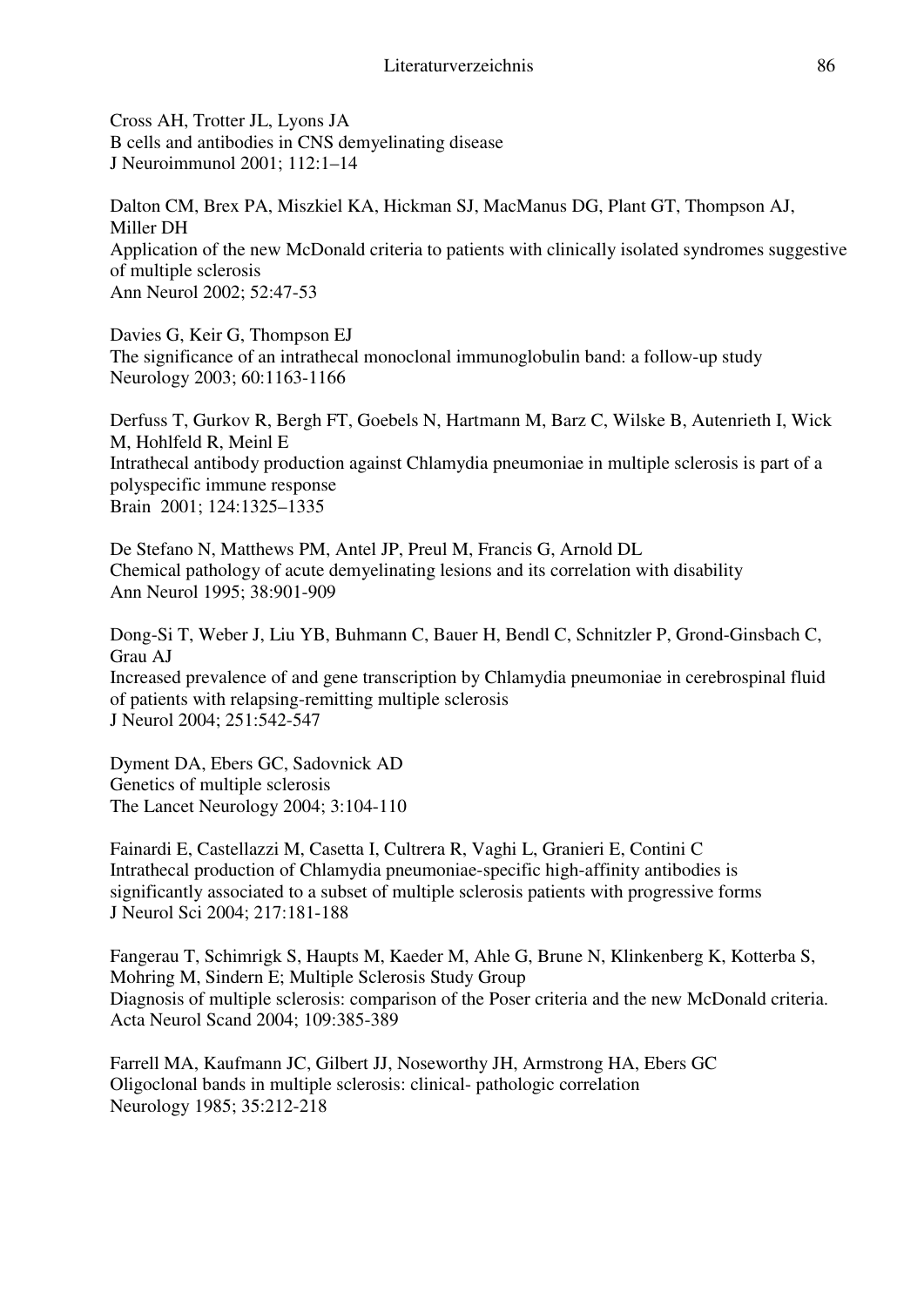Cross AH, Trotter JL, Lyons JA B cells and antibodies in CNS demyelinating disease J Neuroimmunol 2001; 112:1–14

Dalton CM, Brex PA, Miszkiel KA, Hickman SJ, MacManus DG, Plant GT, Thompson AJ, Miller DH Application of the new McDonald criteria to patients with clinically isolated syndromes suggestive of multiple sclerosis Ann Neurol 2002; 52:47-53

Davies G, Keir G, Thompson EJ The significance of an intrathecal monoclonal immunoglobulin band: a follow-up study Neurology 2003; 60:1163-1166

Derfuss T, Gurkov R, Bergh FT, Goebels N, Hartmann M, Barz C, Wilske B, Autenrieth I, Wick M, Hohlfeld R, Meinl E Intrathecal antibody production against Chlamydia pneumoniae in multiple sclerosis is part of a polyspecific immune response Brain 2001; 124:1325–1335

De Stefano N, Matthews PM, Antel JP, Preul M, Francis G, Arnold DL Chemical pathology of acute demyelinating lesions and its correlation with disability Ann Neurol 1995; 38:901-909

Dong-Si T, Weber J, Liu YB, Buhmann C, Bauer H, Bendl C, Schnitzler P, Grond-Ginsbach C, Grau AJ Increased prevalence of and gene transcription by Chlamydia pneumoniae in cerebrospinal fluid of patients with relapsing-remitting multiple sclerosis J Neurol 2004; 251:542-547

Dyment DA, Ebers GC, Sadovnick AD Genetics of multiple sclerosis The Lancet Neurology 2004; 3:104-110

Fainardi E, Castellazzi M, Casetta I, Cultrera R, Vaghi L, Granieri E, Contini C Intrathecal production of Chlamydia pneumoniae-specific high-affinity antibodies is significantly associated to a subset of multiple sclerosis patients with progressive forms J Neurol Sci 2004; 217:181-188

Fangerau T, Schimrigk S, Haupts M, Kaeder M, Ahle G, Brune N, Klinkenberg K, Kotterba S, Mohring M, Sindern E; Multiple Sclerosis Study Group Diagnosis of multiple sclerosis: comparison of the Poser criteria and the new McDonald criteria. Acta Neurol Scand 2004; 109:385-389

Farrell MA, Kaufmann JC, Gilbert JJ, Noseworthy JH, Armstrong HA, Ebers GC Oligoclonal bands in multiple sclerosis: clinical- pathologic correlation Neurology 1985; 35:212-218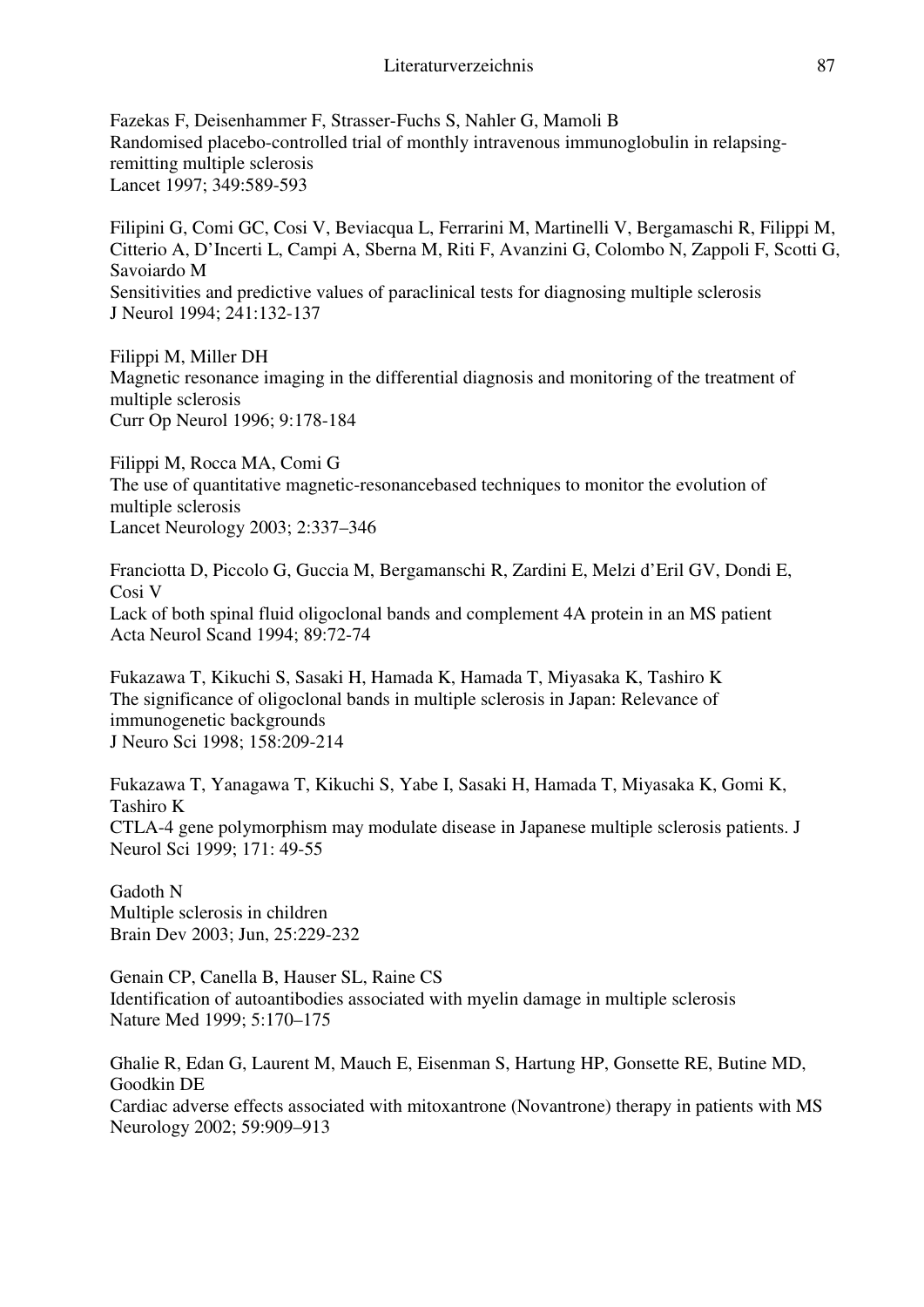Fazekas F, Deisenhammer F, Strasser-Fuchs S, Nahler G, Mamoli B Randomised placebo-controlled trial of monthly intravenous immunoglobulin in relapsingremitting multiple sclerosis Lancet 1997; 349:589-593

Filipini G, Comi GC, Cosi V, Beviacqua L, Ferrarini M, Martinelli V, Bergamaschi R, Filippi M, Citterio A, D'Incerti L, Campi A, Sberna M, Riti F, Avanzini G, Colombo N, Zappoli F, Scotti G, Savoiardo M Sensitivities and predictive values of paraclinical tests for diagnosing multiple sclerosis J Neurol 1994; 241:132-137

Filippi M, Miller DH Magnetic resonance imaging in the differential diagnosis and monitoring of the treatment of multiple sclerosis Curr Op Neurol 1996; 9:178-184

Filippi M, Rocca MA, Comi G The use of quantitative magnetic-resonancebased techniques to monitor the evolution of multiple sclerosis Lancet Neurology 2003; 2:337–346

Franciotta D, Piccolo G, Guccia M, Bergamanschi R, Zardini E, Melzi d'Eril GV, Dondi E, Cosi V Lack of both spinal fluid oligoclonal bands and complement 4A protein in an MS patient Acta Neurol Scand 1994; 89:72-74

Fukazawa T, Kikuchi S, Sasaki H, Hamada K, Hamada T, Miyasaka K, Tashiro K The significance of oligoclonal bands in multiple sclerosis in Japan: Relevance of immunogenetic backgrounds J Neuro Sci 1998; 158:209-214

Fukazawa T, Yanagawa T, Kikuchi S, Yabe I, Sasaki H, Hamada T, Miyasaka K, Gomi K, Tashiro K CTLA-4 gene polymorphism may modulate disease in Japanese multiple sclerosis patients. J Neurol Sci 1999; 171: 49-55

Gadoth N Multiple sclerosis in children Brain Dev 2003; Jun, 25:229-232

Genain CP, Canella B, Hauser SL, Raine CS Identification of autoantibodies associated with myelin damage in multiple sclerosis Nature Med 1999; 5:170–175

Ghalie R, Edan G, Laurent M, Mauch E, Eisenman S, Hartung HP, Gonsette RE, Butine MD, Goodkin DE Cardiac adverse effects associated with mitoxantrone (Novantrone) therapy in patients with MS Neurology 2002; 59:909–913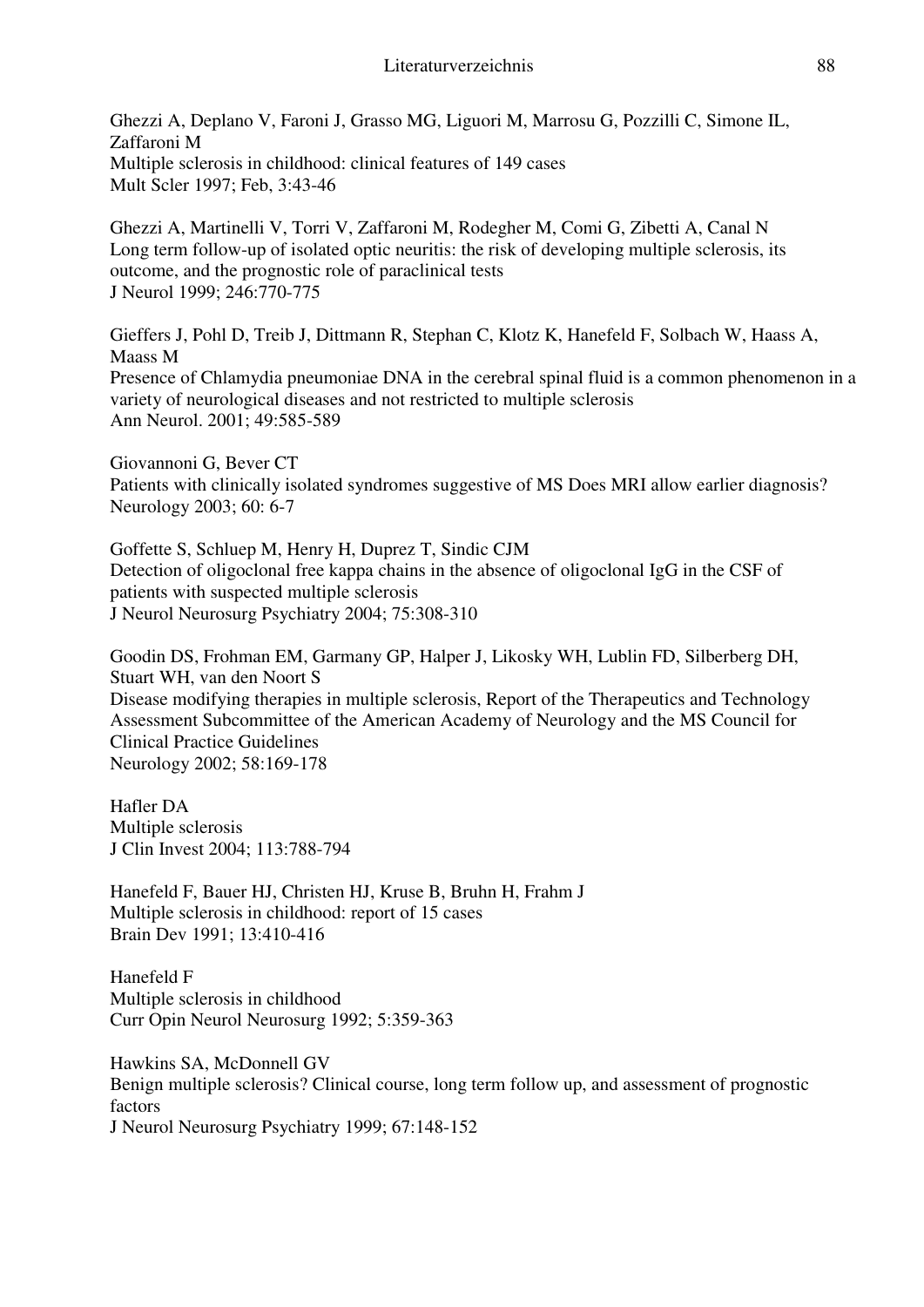Ghezzi A, Deplano V, Faroni J, Grasso MG, Liguori M, Marrosu G, Pozzilli C, Simone IL, Zaffaroni M Multiple sclerosis in childhood: clinical features of 149 cases Mult Scler 1997; Feb, 3:43-46

Ghezzi A, Martinelli V, Torri V, Zaffaroni M, Rodegher M, Comi G, Zibetti A, Canal N Long term follow-up of isolated optic neuritis: the risk of developing multiple sclerosis, its outcome, and the prognostic role of paraclinical tests J Neurol 1999; 246:770-775

Gieffers J, Pohl D, Treib J, Dittmann R, Stephan C, Klotz K, Hanefeld F, Solbach W, Haass A, Maass M Presence of Chlamydia pneumoniae DNA in the cerebral spinal fluid is a common phenomenon in a variety of neurological diseases and not restricted to multiple sclerosis Ann Neurol. 2001; 49:585-589

Giovannoni G, Bever CT Patients with clinically isolated syndromes suggestive of MS Does MRI allow earlier diagnosis? Neurology 2003; 60: 6-7

Goffette S, Schluep M, Henry H, Duprez T, Sindic CJM Detection of oligoclonal free kappa chains in the absence of oligoclonal IgG in the CSF of patients with suspected multiple sclerosis J Neurol Neurosurg Psychiatry 2004; 75:308-310

Goodin DS, Frohman EM, Garmany GP, Halper J, Likosky WH, Lublin FD, Silberberg DH, Stuart WH, van den Noort S Disease modifying therapies in multiple sclerosis, Report of the Therapeutics and Technology Assessment Subcommittee of the American Academy of Neurology and the MS Council for Clinical Practice Guidelines Neurology 2002; 58:169-178

Hafler DA Multiple sclerosis J Clin Invest 2004; 113:788-794

Hanefeld F, Bauer HJ, Christen HJ, Kruse B, Bruhn H, Frahm J Multiple sclerosis in childhood: report of 15 cases Brain Dev 1991; 13:410-416

Hanefeld F Multiple sclerosis in childhood Curr Opin Neurol Neurosurg 1992; 5:359-363

Hawkins SA, McDonnell GV Benign multiple sclerosis? Clinical course, long term follow up, and assessment of prognostic factors J Neurol Neurosurg Psychiatry 1999; 67:148-152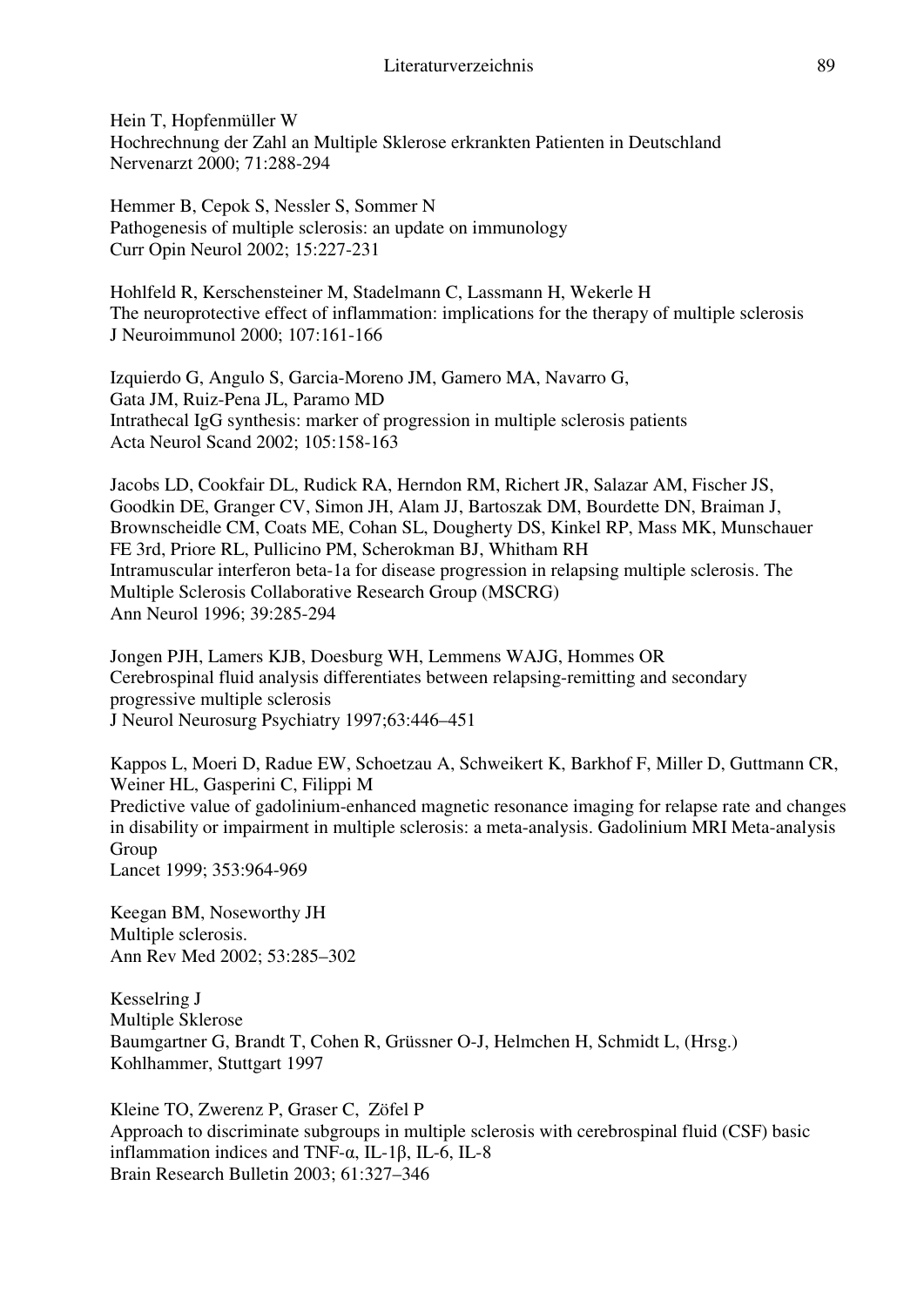Hein T, Hopfenmüller W Hochrechnung der Zahl an Multiple Sklerose erkrankten Patienten in Deutschland Nervenarzt 2000; 71:288-294

Hemmer B, Cepok S, Nessler S, Sommer N Pathogenesis of multiple sclerosis: an update on immunology Curr Opin Neurol 2002; 15:227-231

Hohlfeld R, Kerschensteiner M, Stadelmann C, Lassmann H, Wekerle H The neuroprotective effect of inflammation: implications for the therapy of multiple sclerosis J Neuroimmunol 2000; 107:161-166

Izquierdo G, Angulo S, Garcia-Moreno JM, Gamero MA, Navarro G, Gata JM, Ruiz-Pena JL, Paramo MD Intrathecal IgG synthesis: marker of progression in multiple sclerosis patients Acta Neurol Scand 2002; 105:158-163

Jacobs LD, Cookfair DL, Rudick RA, Herndon RM, Richert JR, Salazar AM, Fischer JS, Goodkin DE, Granger CV, Simon JH, Alam JJ, Bartoszak DM, Bourdette DN, Braiman J, Brownscheidle CM, Coats ME, Cohan SL, Dougherty DS, Kinkel RP, Mass MK, Munschauer FE 3rd, Priore RL, Pullicino PM, Scherokman BJ, Whitham RH Intramuscular interferon beta-1a for disease progression in relapsing multiple sclerosis. The Multiple Sclerosis Collaborative Research Group (MSCRG) Ann Neurol 1996; 39:285-294

Jongen PJH, Lamers KJB, Doesburg WH, Lemmens WAJG, Hommes OR Cerebrospinal fluid analysis differentiates between relapsing-remitting and secondary progressive multiple sclerosis J Neurol Neurosurg Psychiatry 1997;63:446–451

Kappos L, Moeri D, Radue EW, Schoetzau A, Schweikert K, Barkhof F, Miller D, Guttmann CR, Weiner HL, Gasperini C, Filippi M

Predictive value of gadolinium-enhanced magnetic resonance imaging for relapse rate and changes in disability or impairment in multiple sclerosis: a meta-analysis. Gadolinium MRI Meta-analysis **Group** 

Lancet 1999; 353:964-969

Keegan BM, Noseworthy JH Multiple sclerosis. Ann Rev Med 2002; 53:285–302

Kesselring J Multiple Sklerose Baumgartner G, Brandt T, Cohen R, Grüssner O-J, Helmchen H, Schmidt L, (Hrsg.) Kohlhammer, Stuttgart 1997

Kleine TO, Zwerenz P, Graser C, Zöfel P Approach to discriminate subgroups in multiple sclerosis with cerebrospinal fluid (CSF) basic inflammation indices and TNF-α, IL-1β, IL-6, IL-8 Brain Research Bulletin 2003; 61:327–346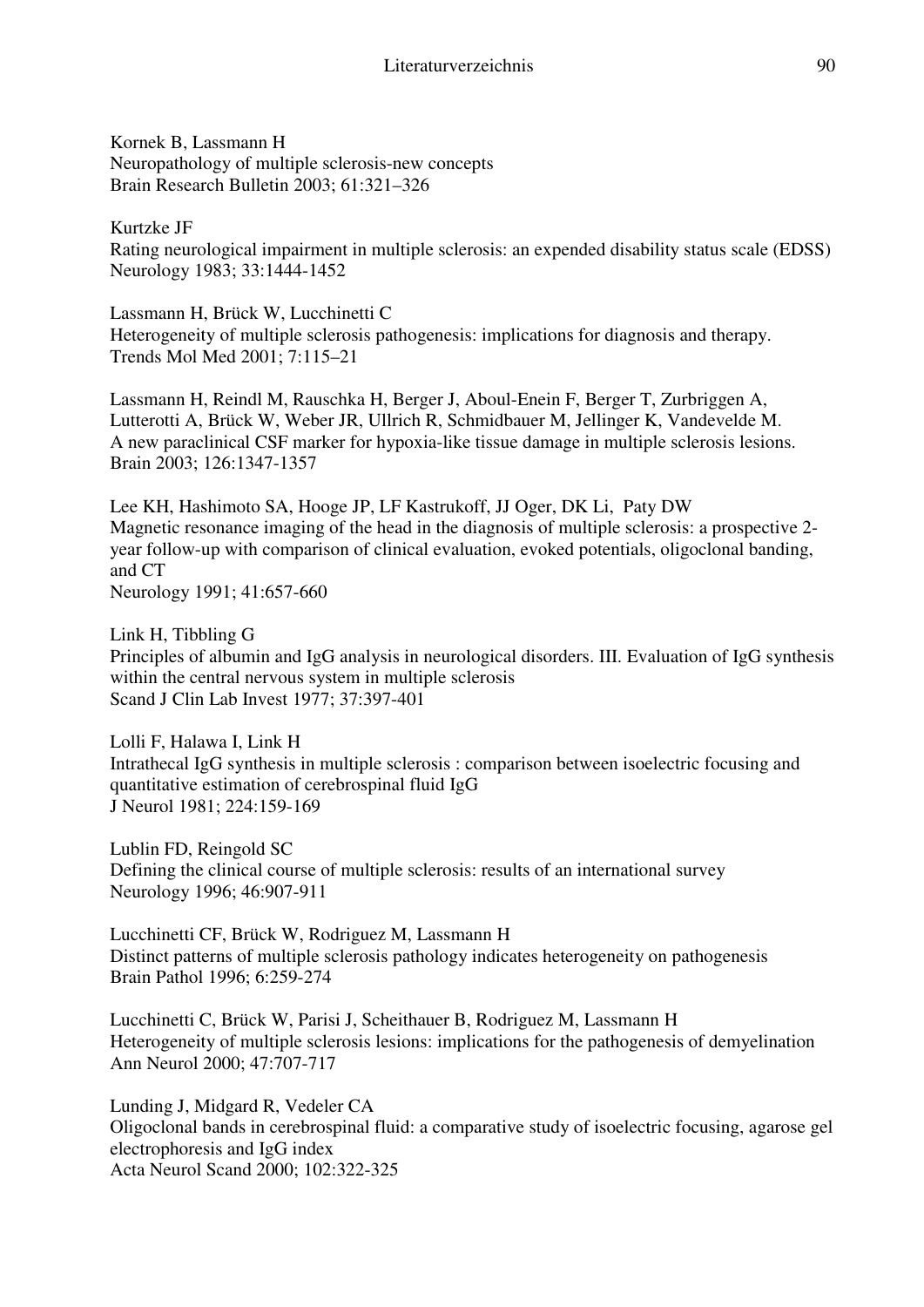Kornek B, Lassmann H Neuropathology of multiple sclerosis-new concepts Brain Research Bulletin 2003; 61:321–326

Kurtzke JF Rating neurological impairment in multiple sclerosis: an expended disability status scale (EDSS) Neurology 1983; 33:1444-1452

Lassmann H, Brück W, Lucchinetti C Heterogeneity of multiple sclerosis pathogenesis: implications for diagnosis and therapy. Trends Mol Med 2001; 7:115–21

Lassmann H, Reindl M, Rauschka H, Berger J, Aboul-Enein F, Berger T, Zurbriggen A, Lutterotti A, Brück W, Weber JR, Ullrich R, Schmidbauer M, Jellinger K, Vandevelde M. A new paraclinical CSF marker for hypoxia-like tissue damage in multiple sclerosis lesions. Brain 2003; 126:1347-1357

Lee KH, Hashimoto SA, Hooge JP, LF Kastrukoff, JJ Oger, DK Li, Paty DW Magnetic resonance imaging of the head in the diagnosis of multiple sclerosis: a prospective 2 year follow-up with comparison of clinical evaluation, evoked potentials, oligoclonal banding, and CT

Neurology 1991; 41:657-660

Link H, Tibbling G Principles of albumin and IgG analysis in neurological disorders. III. Evaluation of IgG synthesis within the central nervous system in multiple sclerosis Scand J Clin Lab Invest 1977; 37:397-401

Lolli F, Halawa I, Link H Intrathecal IgG synthesis in multiple sclerosis : comparison between isoelectric focusing and quantitative estimation of cerebrospinal fluid IgG J Neurol 1981; 224:159-169

Lublin FD, Reingold SC Defining the clinical course of multiple sclerosis: results of an international survey Neurology 1996; 46:907-911

Lucchinetti CF, Brück W, Rodriguez M, Lassmann H Distinct patterns of multiple sclerosis pathology indicates heterogeneity on pathogenesis Brain Pathol 1996; 6:259-274

Lucchinetti C, Brück W, Parisi J, Scheithauer B, Rodriguez M, Lassmann H Heterogeneity of multiple sclerosis lesions: implications for the pathogenesis of demyelination Ann Neurol 2000; 47:707-717

Lunding J, Midgard R, Vedeler CA Oligoclonal bands in cerebrospinal fluid: a comparative study of isoelectric focusing, agarose gel electrophoresis and IgG index Acta Neurol Scand 2000; 102:322-325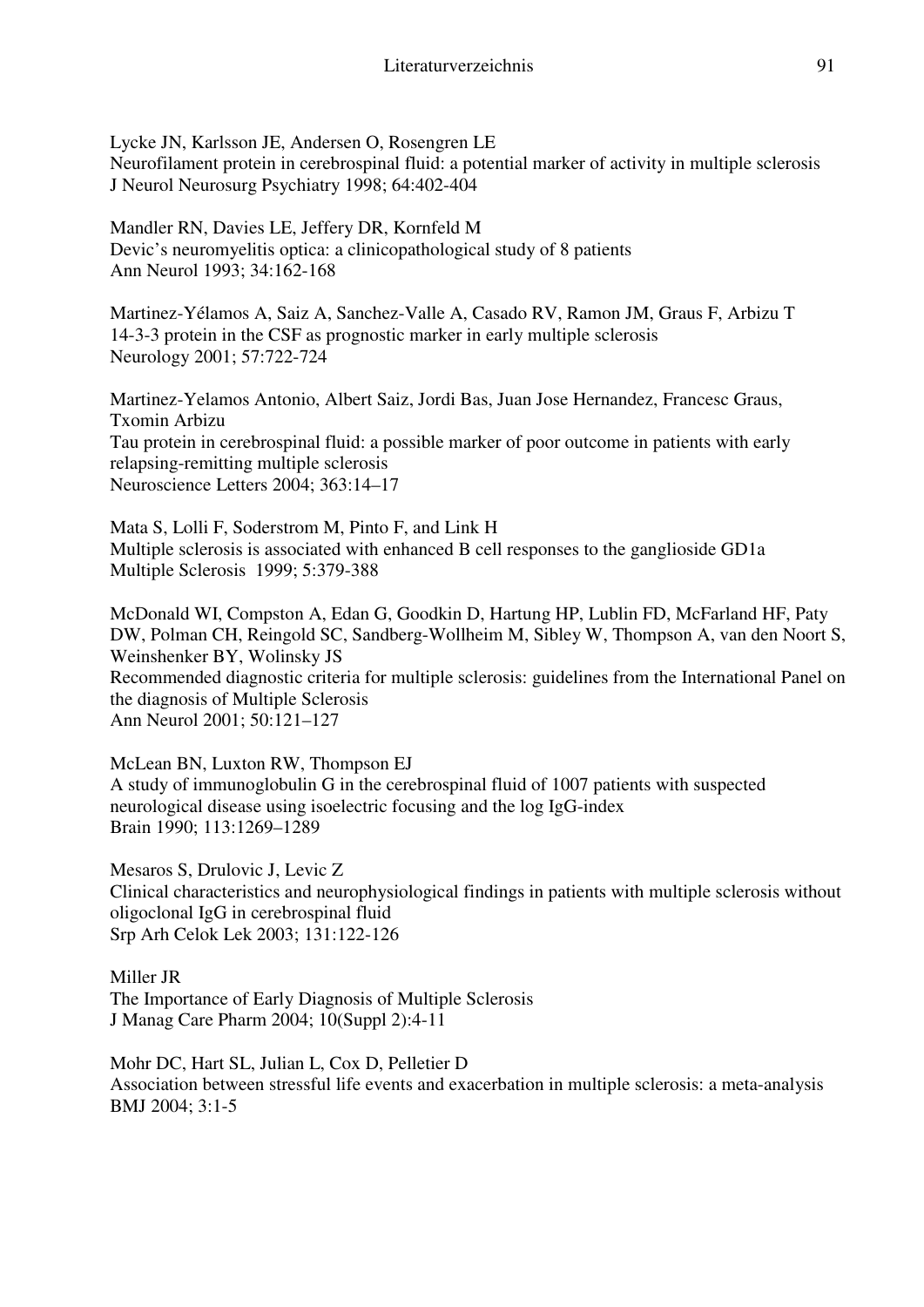Lycke JN, Karlsson JE, Andersen O, Rosengren LE Neurofilament protein in cerebrospinal fluid: a potential marker of activity in multiple sclerosis J Neurol Neurosurg Psychiatry 1998; 64:402-404

Mandler RN, Davies LE, Jeffery DR, Kornfeld M Devic's neuromyelitis optica: a clinicopathological study of 8 patients Ann Neurol 1993; 34:162-168

Martinez-Yélamos A, Saiz A, Sanchez-Valle A, Casado RV, Ramon JM, Graus F, Arbizu T 14-3-3 protein in the CSF as prognostic marker in early multiple sclerosis Neurology 2001; 57:722-724

Martinez-Yelamos Antonio, Albert Saiz, Jordi Bas, Juan Jose Hernandez, Francesc Graus, Txomin Arbizu Tau protein in cerebrospinal fluid: a possible marker of poor outcome in patients with early relapsing-remitting multiple sclerosis Neuroscience Letters 2004; 363:14–17

Mata S, Lolli F, Soderstrom M, Pinto F, and Link H Multiple sclerosis is associated with enhanced B cell responses to the ganglioside GD1a Multiple Sclerosis 1999; 5:379-388

McDonald WI, Compston A, Edan G, Goodkin D, Hartung HP, Lublin FD, McFarland HF, Paty DW, Polman CH, Reingold SC, Sandberg-Wollheim M, Sibley W, Thompson A, van den Noort S, Weinshenker BY, Wolinsky JS Recommended diagnostic criteria for multiple sclerosis: guidelines from the International Panel on the diagnosis of Multiple Sclerosis Ann Neurol 2001; 50:121–127

McLean BN, Luxton RW, Thompson EJ A study of immunoglobulin G in the cerebrospinal fluid of 1007 patients with suspected neurological disease using isoelectric focusing and the log IgG-index Brain 1990; 113:1269–1289

Mesaros S, Drulovic J, Levic Z Clinical characteristics and neurophysiological findings in patients with multiple sclerosis without oligoclonal IgG in cerebrospinal fluid Srp Arh Celok Lek 2003; 131:122-126

Miller JR The Importance of Early Diagnosis of Multiple Sclerosis J Manag Care Pharm 2004; 10(Suppl 2):4-11

Mohr DC, Hart SL, Julian L, Cox D, Pelletier D Association between stressful life events and exacerbation in multiple sclerosis: a meta-analysis BMJ 2004; 3:1-5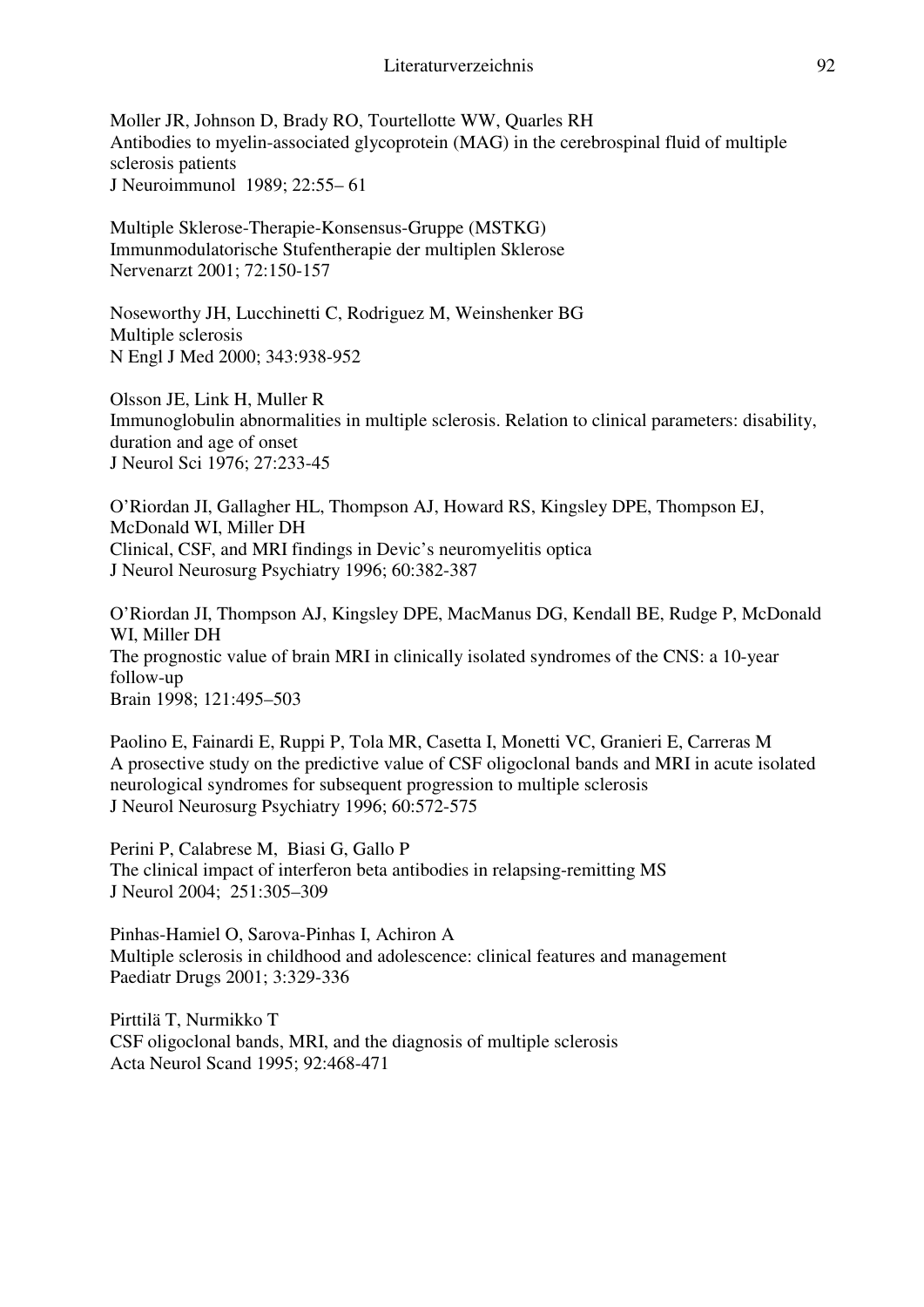Moller JR, Johnson D, Brady RO, Tourtellotte WW, Quarles RH Antibodies to myelin-associated glycoprotein (MAG) in the cerebrospinal fluid of multiple sclerosis patients J Neuroimmunol 1989; 22:55– 61

Multiple Sklerose-Therapie-Konsensus-Gruppe (MSTKG) Immunmodulatorische Stufentherapie der multiplen Sklerose Nervenarzt 2001; 72:150-157

Noseworthy JH, Lucchinetti C, Rodriguez M, Weinshenker BG Multiple sclerosis N Engl J Med 2000; 343:938-952

Olsson JE, Link H, Muller R Immunoglobulin abnormalities in multiple sclerosis. Relation to clinical parameters: disability, duration and age of onset J Neurol Sci 1976; 27:233-45

O'Riordan JI, Gallagher HL, Thompson AJ, Howard RS, Kingsley DPE, Thompson EJ, McDonald WI, Miller DH Clinical, CSF, and MRI findings in Devic's neuromyelitis optica J Neurol Neurosurg Psychiatry 1996; 60:382-387

O'Riordan JI, Thompson AJ, Kingsley DPE, MacManus DG, Kendall BE, Rudge P, McDonald WI, Miller DH The prognostic value of brain MRI in clinically isolated syndromes of the CNS: a 10-year follow-up Brain 1998; 121:495–503

Paolino E, Fainardi E, Ruppi P, Tola MR, Casetta I, Monetti VC, Granieri E, Carreras M A prosective study on the predictive value of CSF oligoclonal bands and MRI in acute isolated neurological syndromes for subsequent progression to multiple sclerosis J Neurol Neurosurg Psychiatry 1996; 60:572-575

Perini P, Calabrese M, Biasi G, Gallo P The clinical impact of interferon beta antibodies in relapsing-remitting MS J Neurol 2004; 251:305–309

Pinhas-Hamiel O, Sarova-Pinhas I, Achiron A Multiple sclerosis in childhood and adolescence: clinical features and management Paediatr Drugs 2001; 3:329-336

Pirttilä T, Nurmikko T CSF oligoclonal bands, MRI, and the diagnosis of multiple sclerosis Acta Neurol Scand 1995; 92:468-471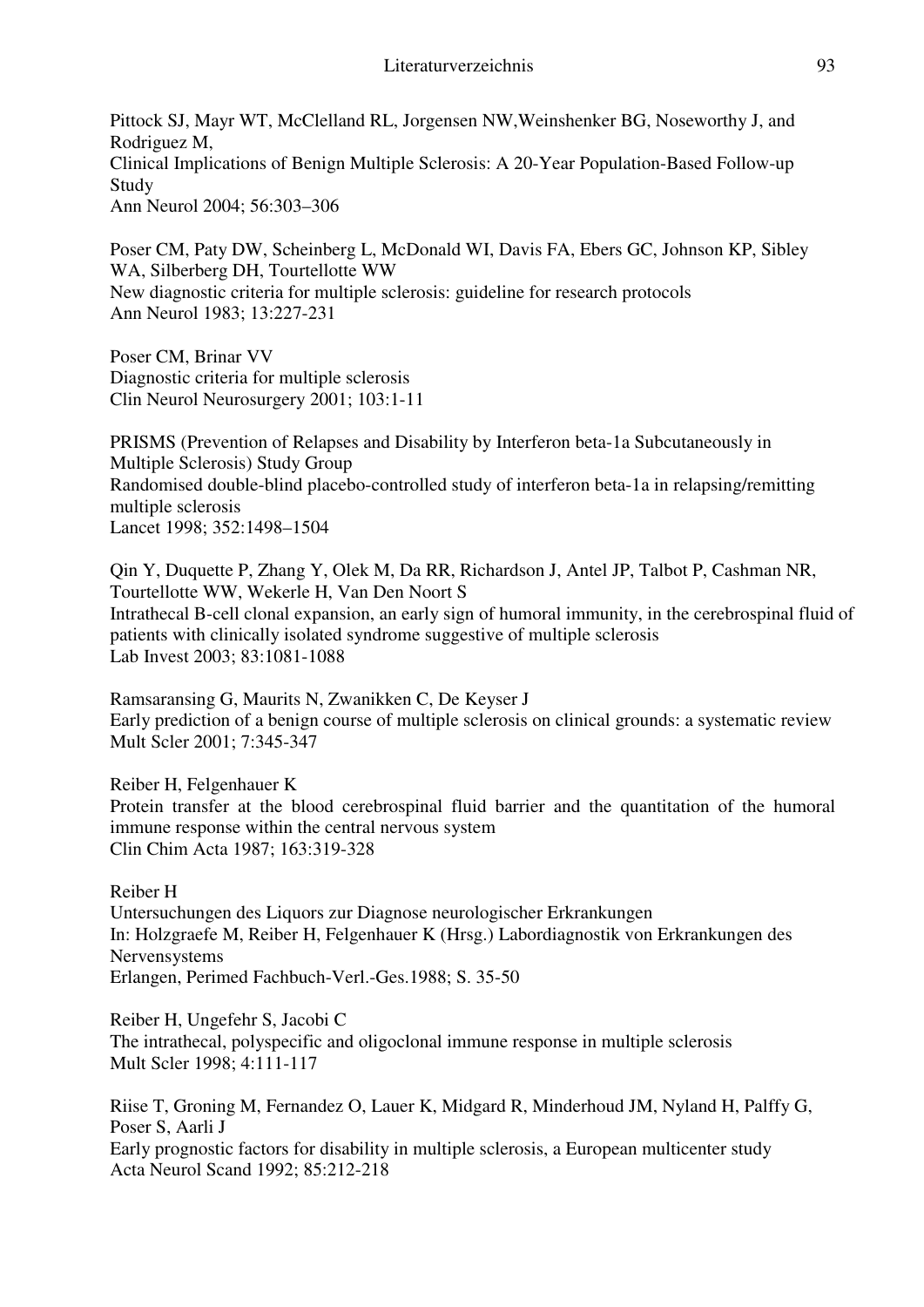Pittock SJ, Mayr WT, McClelland RL, Jorgensen NW,Weinshenker BG, Noseworthy J, and Rodriguez M, Clinical Implications of Benign Multiple Sclerosis: A 20-Year Population-Based Follow-up Study Ann Neurol 2004; 56:303–306

Poser CM, Paty DW, Scheinberg L, McDonald WI, Davis FA, Ebers GC, Johnson KP, Sibley WA, Silberberg DH, Tourtellotte WW New diagnostic criteria for multiple sclerosis: guideline for research protocols Ann Neurol 1983; 13:227-231

Poser CM, Brinar VV Diagnostic criteria for multiple sclerosis Clin Neurol Neurosurgery 2001; 103:1-11

PRISMS (Prevention of Relapses and Disability by Interferon beta-1a Subcutaneously in Multiple Sclerosis) Study Group Randomised double-blind placebo-controlled study of interferon beta-1a in relapsing/remitting multiple sclerosis Lancet 1998; 352:1498–1504

Qin Y, Duquette P, Zhang Y, Olek M, Da RR, Richardson J, Antel JP, Talbot P, Cashman NR, Tourtellotte WW, Wekerle H, Van Den Noort S Intrathecal B-cell clonal expansion, an early sign of humoral immunity, in the cerebrospinal fluid of patients with clinically isolated syndrome suggestive of multiple sclerosis Lab Invest 2003; 83:1081-1088

Ramsaransing G, Maurits N, Zwanikken C, De Keyser J Early prediction of a benign course of multiple sclerosis on clinical grounds: a systematic review Mult Scler 2001; 7:345-347

Reiber H, Felgenhauer K Protein transfer at the blood cerebrospinal fluid barrier and the quantitation of the humoral immune response within the central nervous system Clin Chim Acta 1987; 163:319-328

Reiber H Untersuchungen des Liquors zur Diagnose neurologischer Erkrankungen In: Holzgraefe M, Reiber H, Felgenhauer K (Hrsg.) Labordiagnostik von Erkrankungen des Nervensystems Erlangen, Perimed Fachbuch-Verl.-Ges.1988; S. 35-50

Reiber H, Ungefehr S, Jacobi C The intrathecal, polyspecific and oligoclonal immune response in multiple sclerosis Mult Scler 1998; 4:111-117

Riise T, Groning M, Fernandez O, Lauer K, Midgard R, Minderhoud JM, Nyland H, Palffy G, Poser S, Aarli J Early prognostic factors for disability in multiple sclerosis, a European multicenter study Acta Neurol Scand 1992; 85:212-218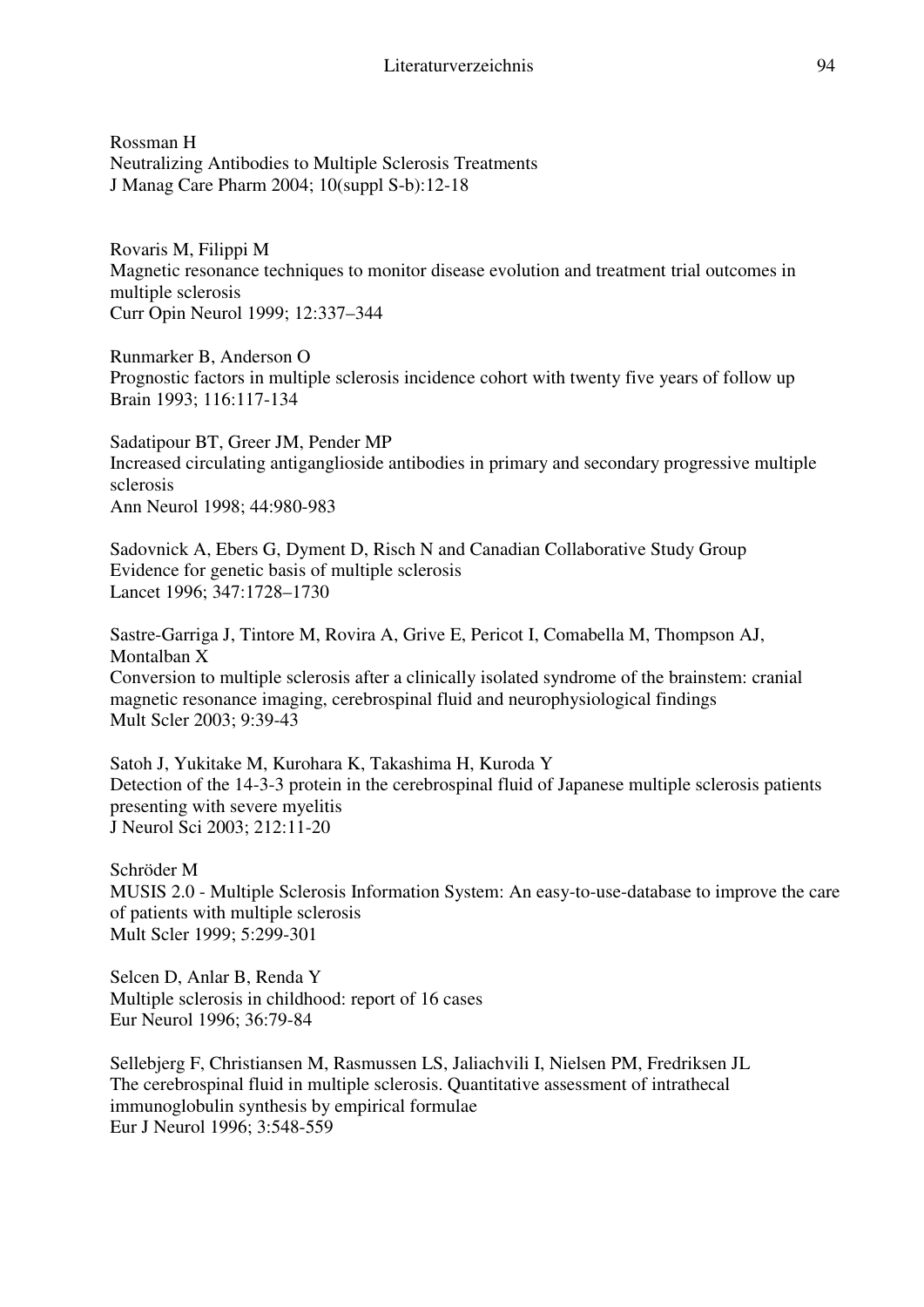Rossman H Neutralizing Antibodies to Multiple Sclerosis Treatments J Manag Care Pharm 2004; 10(suppl S-b):12-18

Rovaris M, Filippi M Magnetic resonance techniques to monitor disease evolution and treatment trial outcomes in multiple sclerosis Curr Opin Neurol 1999; 12:337–344

Runmarker B, Anderson O Prognostic factors in multiple sclerosis incidence cohort with twenty five years of follow up Brain 1993; 116:117-134

Sadatipour BT, Greer JM, Pender MP Increased circulating antiganglioside antibodies in primary and secondary progressive multiple sclerosis Ann Neurol 1998; 44:980-983

Sadovnick A, Ebers G, Dyment D, Risch N and Canadian Collaborative Study Group Evidence for genetic basis of multiple sclerosis Lancet 1996; 347:1728–1730

Sastre-Garriga J, Tintore M, Rovira A, Grive E, Pericot I, Comabella M, Thompson AJ, Montalban X Conversion to multiple sclerosis after a clinically isolated syndrome of the brainstem: cranial magnetic resonance imaging, cerebrospinal fluid and neurophysiological findings Mult Scler 2003; 9:39-43

Satoh J, Yukitake M, Kurohara K, Takashima H, Kuroda Y Detection of the 14-3-3 protein in the cerebrospinal fluid of Japanese multiple sclerosis patients presenting with severe myelitis J Neurol Sci 2003; 212:11-20

Schröder M MUSIS 2.0 - Multiple Sclerosis Information System: An easy-to-use-database to improve the care of patients with multiple sclerosis Mult Scler 1999; 5:299-301

Selcen D, Anlar B, Renda Y Multiple sclerosis in childhood: report of 16 cases Eur Neurol 1996; 36:79-84

Sellebjerg F, Christiansen M, Rasmussen LS, Jaliachvili I, Nielsen PM, Fredriksen JL The cerebrospinal fluid in multiple sclerosis. Quantitative assessment of intrathecal immunoglobulin synthesis by empirical formulae Eur J Neurol 1996; 3:548-559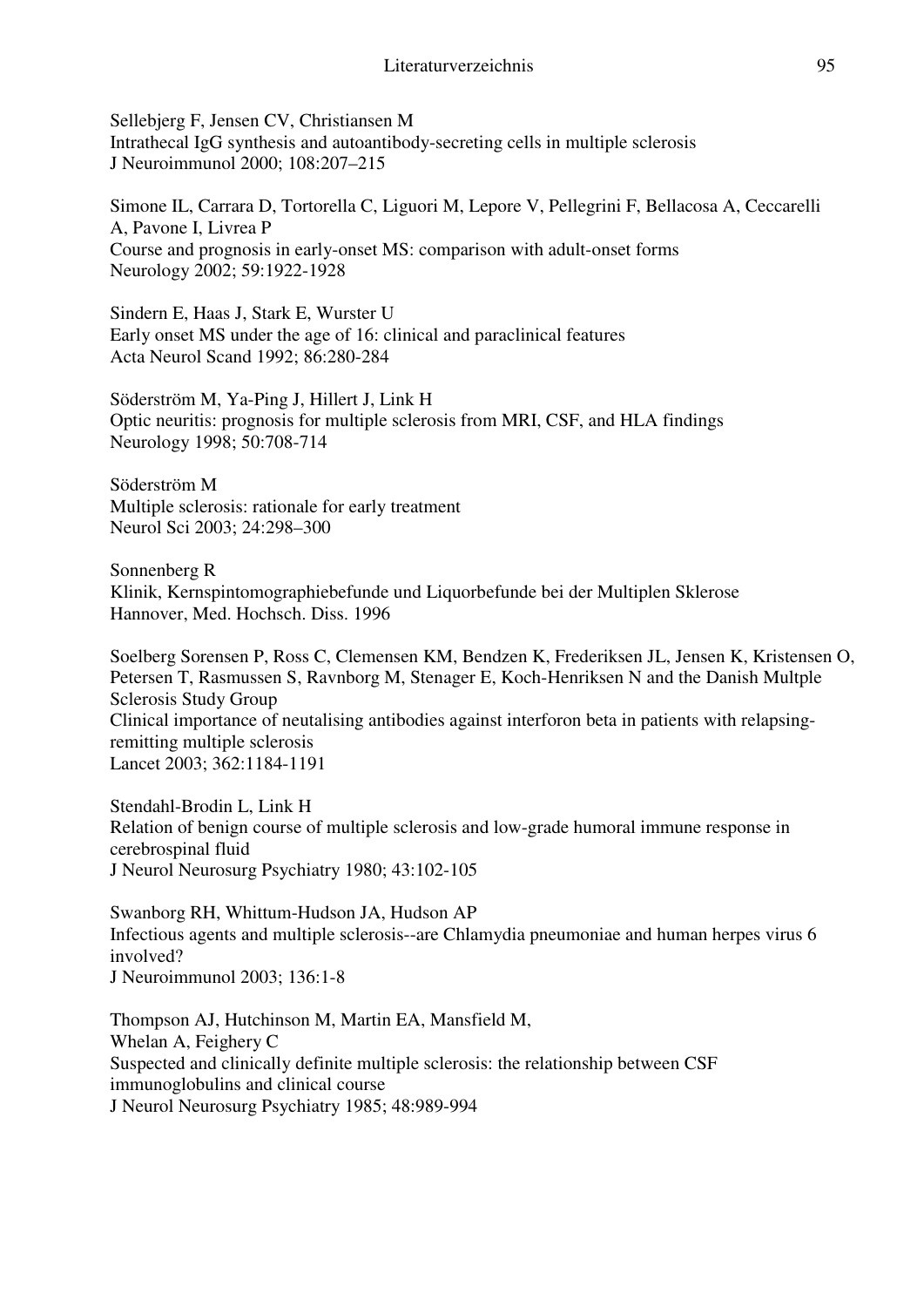Sellebjerg F, Jensen CV, Christiansen M Intrathecal IgG synthesis and autoantibody-secreting cells in multiple sclerosis J Neuroimmunol 2000; 108:207–215

Simone IL, Carrara D, Tortorella C, Liguori M, Lepore V, Pellegrini F, Bellacosa A, Ceccarelli A, Pavone I, Livrea P Course and prognosis in early-onset MS: comparison with adult-onset forms Neurology 2002; 59:1922-1928

Sindern E, Haas J, Stark E, Wurster U Early onset MS under the age of 16: clinical and paraclinical features Acta Neurol Scand 1992; 86:280-284

Söderström M, Ya-Ping J, Hillert J, Link H Optic neuritis: prognosis for multiple sclerosis from MRI, CSF, and HLA findings Neurology 1998; 50:708-714

Söderström M Multiple sclerosis: rationale for early treatment Neurol Sci 2003; 24:298–300

Sonnenberg R Klinik, Kernspintomographiebefunde und Liquorbefunde bei der Multiplen Sklerose Hannover, Med. Hochsch. Diss. 1996

Soelberg Sorensen P, Ross C, Clemensen KM, Bendzen K, Frederiksen JL, Jensen K, Kristensen O, Petersen T, Rasmussen S, Ravnborg M, Stenager E, Koch-Henriksen N and the Danish Multple Sclerosis Study Group Clinical importance of neutalising antibodies against interforon beta in patients with relapsingremitting multiple sclerosis Lancet 2003; 362:1184-1191

Stendahl-Brodin L, Link H Relation of benign course of multiple sclerosis and low-grade humoral immune response in cerebrospinal fluid J Neurol Neurosurg Psychiatry 1980; 43:102-105

Swanborg RH, Whittum-Hudson JA, Hudson AP Infectious agents and multiple sclerosis--are Chlamydia pneumoniae and human herpes virus 6 involved? J Neuroimmunol 2003; 136:1-8

Thompson AJ, Hutchinson M, Martin EA, Mansfield M, Whelan A, Feighery C Suspected and clinically definite multiple sclerosis: the relationship between CSF immunoglobulins and clinical course J Neurol Neurosurg Psychiatry 1985; 48:989-994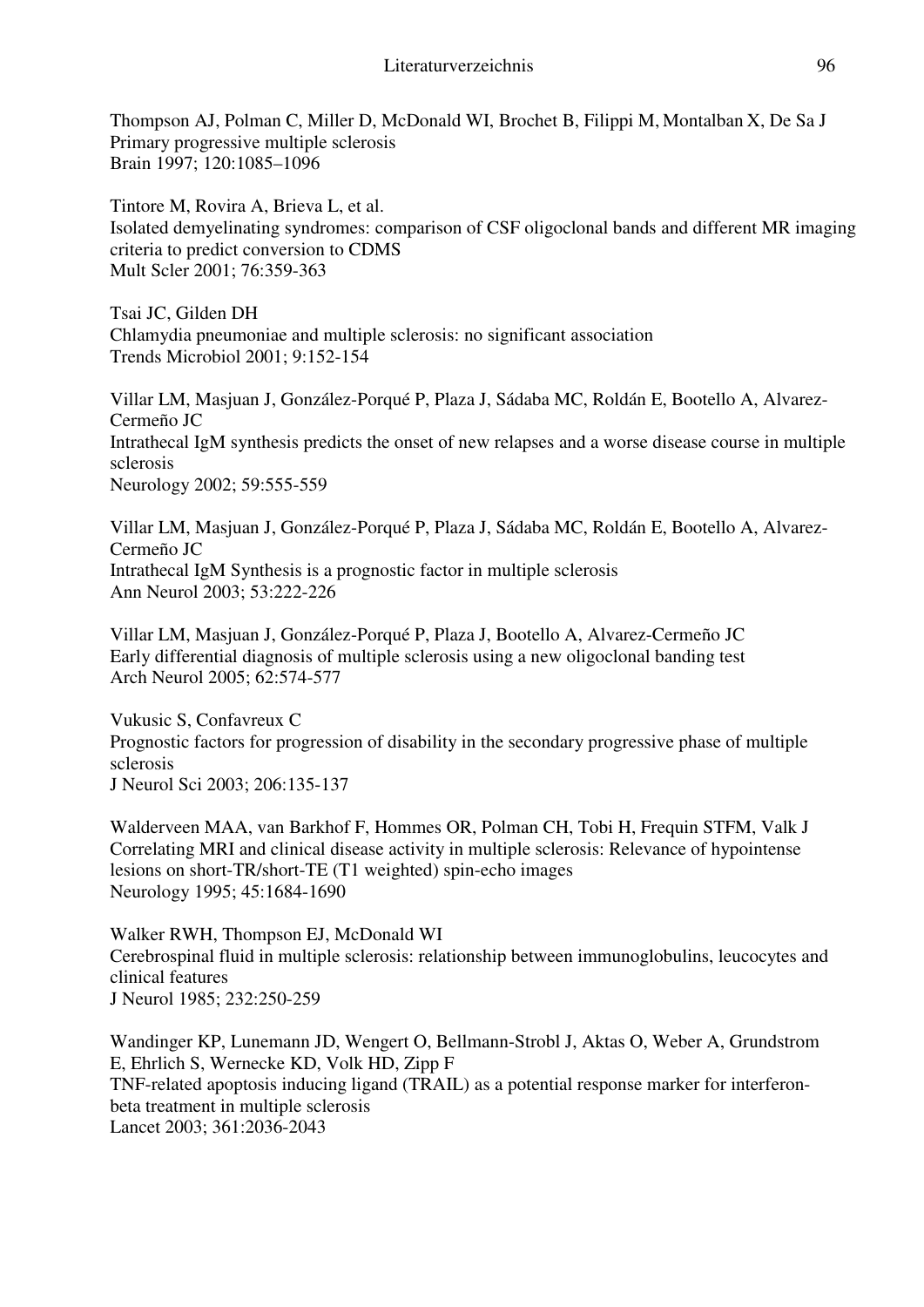Thompson AJ, Polman C, Miller D, McDonald WI, Brochet B, Filippi M, Montalban X, De Sa J Primary progressive multiple sclerosis Brain 1997; 120:1085–1096

Tintore M, Rovira A, Brieva L, et al. Isolated demyelinating syndromes: comparison of CSF oligoclonal bands and different MR imaging criteria to predict conversion to CDMS Mult Scler 2001; 76:359-363

Tsai JC, Gilden DH Chlamydia pneumoniae and multiple sclerosis: no significant association Trends Microbiol 2001; 9:152-154

Villar LM, Masjuan J, González-Porqué P, Plaza J, Sádaba MC, Roldán E, Bootello A, Alvarez-Cermeño JC Intrathecal IgM synthesis predicts the onset of new relapses and a worse disease course in multiple sclerosis Neurology 2002; 59:555-559

Villar LM, Masjuan J, González-Porqué P, Plaza J, Sádaba MC, Roldán E, Bootello A, Alvarez-Cermeño JC Intrathecal IgM Synthesis is a prognostic factor in multiple sclerosis Ann Neurol 2003; 53:222-226

Villar LM, Masjuan J, González-Porqué P, Plaza J, Bootello A, Alvarez-Cermeño JC Early differential diagnosis of multiple sclerosis using a new oligoclonal banding test Arch Neurol 2005; 62:574-577

Vukusic S, Confavreux C Prognostic factors for progression of disability in the secondary progressive phase of multiple sclerosis J Neurol Sci 2003; 206:135-137

Walderveen MAA, van Barkhof F, Hommes OR, Polman CH, Tobi H, Frequin STFM, Valk J Correlating MRI and clinical disease activity in multiple sclerosis: Relevance of hypointense lesions on short-TR/short-TE (T1 weighted) spin-echo images Neurology 1995; 45:1684-1690

Walker RWH, Thompson EJ, McDonald WI Cerebrospinal fluid in multiple sclerosis: relationship between immunoglobulins, leucocytes and clinical features J Neurol 1985; 232:250-259

Wandinger KP, Lunemann JD, Wengert O, Bellmann-Strobl J, Aktas O, Weber A, Grundstrom E, Ehrlich S, Wernecke KD, Volk HD, Zipp F TNF-related apoptosis inducing ligand (TRAIL) as a potential response marker for interferonbeta treatment in multiple sclerosis Lancet 2003; 361:2036-2043